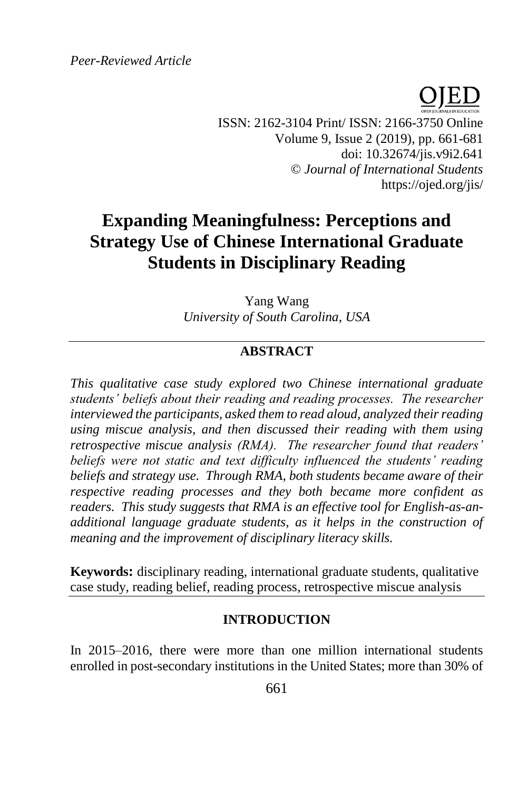*Peer-Reviewed Article*



ISSN: 2162-3104 Print/ ISSN: 2166-3750 Online Volume 9, Issue 2 (2019), pp. 661-681 doi: 10.32674/jis.v9i2.641 © *Journal of International Students* https://ojed.org/jis/

# **Expanding Meaningfulness: Perceptions and Strategy Use of Chinese International Graduate Students in Disciplinary Reading**

Yang Wang *University of South Carolina, USA*

# **ABSTRACT**

*This qualitative case study explored two Chinese international graduate students' beliefs about their reading and reading processes. The researcher interviewed the participants, asked them to read aloud, analyzed their reading using miscue analysis, and then discussed their reading with them using retrospective miscue analysis (RMA). The researcher found that readers' beliefs were not static and text difficulty influenced the students' reading beliefs and strategy use. Through RMA, both students became aware of their respective reading processes and they both became more confident as readers. This study suggests that RMA is an effective tool for English-as-anadditional language graduate students, as it helps in the construction of meaning and the improvement of disciplinary literacy skills.*

**Keywords:** disciplinary reading, international graduate students, qualitative case study, reading belief, reading process, retrospective miscue analysis

#### **INTRODUCTION**

In 2015–2016, there were more than one million international students enrolled in post-secondary institutions in the United States; more than 30% of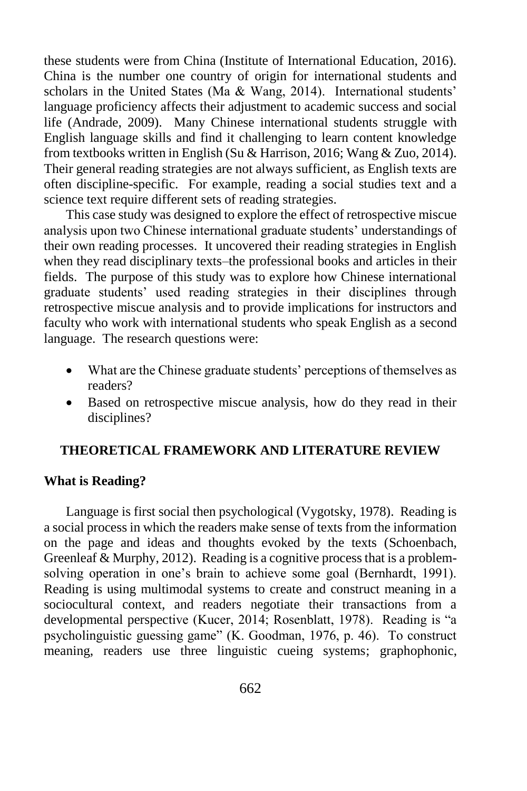these students were from China (Institute of International Education, 2016). China is the number one country of origin for international students and scholars in the United States (Ma & Wang, 2014). International students' language proficiency affects their adjustment to academic success and social life (Andrade, 2009). Many Chinese international students struggle with English language skills and find it challenging to learn content knowledge from textbooks written in English (Su & Harrison, 2016; Wang & Zuo, 2014). Their general reading strategies are not always sufficient, as English texts are often discipline-specific. For example, reading a social studies text and a science text require different sets of reading strategies.

This case study was designed to explore the effect of retrospective miscue analysis upon two Chinese international graduate students' understandings of their own reading processes. It uncovered their reading strategies in English when they read disciplinary texts–the professional books and articles in their fields. The purpose of this study was to explore how Chinese international graduate students' used reading strategies in their disciplines through retrospective miscue analysis and to provide implications for instructors and faculty who work with international students who speak English as a second language. The research questions were:

- What are the Chinese graduate students' perceptions of themselves as readers?
- Based on retrospective miscue analysis, how do they read in their disciplines?

## **THEORETICAL FRAMEWORK AND LITERATURE REVIEW**

#### **What is Reading?**

Language is first social then psychological (Vygotsky, 1978). Reading is a social process in which the readers make sense of texts from the information on the page and ideas and thoughts evoked by the texts (Schoenbach, Greenleaf & Murphy, 2012). Reading is a cognitive process that is a problemsolving operation in one's brain to achieve some goal (Bernhardt, 1991). Reading is using multimodal systems to create and construct meaning in a sociocultural context, and readers negotiate their transactions from a developmental perspective (Kucer, 2014; Rosenblatt, 1978). Reading is "a psycholinguistic guessing game" (K. Goodman, 1976, p. 46). To construct meaning, readers use three linguistic cueing systems; graphophonic,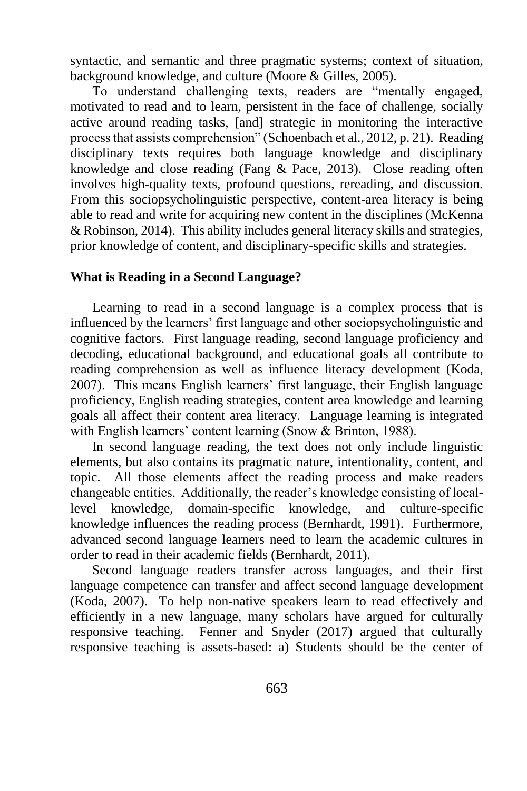syntactic, and semantic and three pragmatic systems; context of situation, background knowledge, and culture (Moore & Gilles, 2005).

To understand challenging texts, readers are "mentally engaged, motivated to read and to learn, persistent in the face of challenge, socially active around reading tasks, [and] strategic in monitoring the interactive process that assists comprehension" (Schoenbach et al., 2012, p. 21). Reading disciplinary texts requires both language knowledge and disciplinary knowledge and close reading (Fang & Pace, 2013). Close reading often involves high-quality texts, profound questions, rereading, and discussion. From this sociopsycholinguistic perspective, content-area literacy is being able to read and write for acquiring new content in the disciplines (McKenna & Robinson, 2014). This ability includes general literacy skills and strategies, prior knowledge of content, and disciplinary-specific skills and strategies.

## **What is Reading in a Second Language?**

Learning to read in a second language is a complex process that is influenced by the learners' first language and other sociopsycholinguistic and cognitive factors. First language reading, second language proficiency and decoding, educational background, and educational goals all contribute to reading comprehension as well as influence literacy development (Koda, 2007). This means English learners' first language, their English language proficiency, English reading strategies, content area knowledge and learning goals all affect their content area literacy. Language learning is integrated with English learners' content learning (Snow & Brinton, 1988).

In second language reading, the text does not only include linguistic elements, but also contains its pragmatic nature, intentionality, content, and topic. All those elements affect the reading process and make readers changeable entities. Additionally, the reader's knowledge consisting of locallevel knowledge, domain-specific knowledge, and culture-specific knowledge influences the reading process (Bernhardt, 1991). Furthermore, advanced second language learners need to learn the academic cultures in order to read in their academic fields (Bernhardt, 2011).

Second language readers transfer across languages, and their first language competence can transfer and affect second language development (Koda, 2007). To help non-native speakers learn to read effectively and efficiently in a new language, many scholars have argued for culturally responsive teaching. Fenner and Snyder (2017) argued that culturally responsive teaching is assets-based: a) Students should be the center of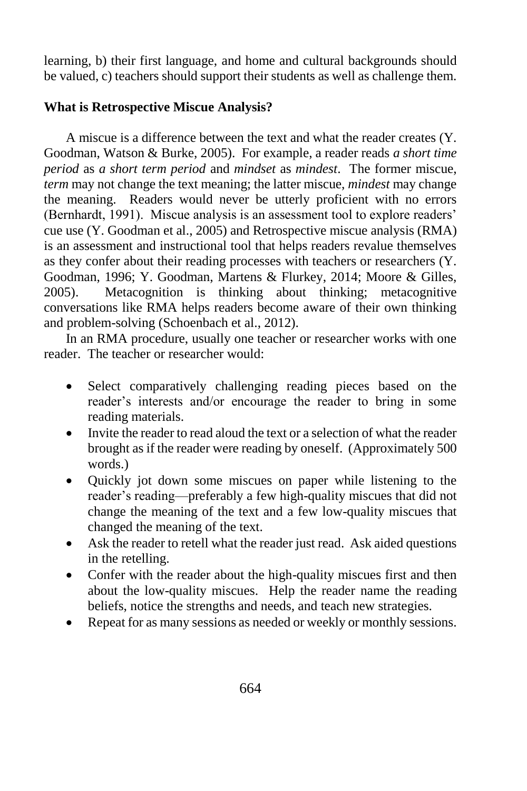learning, b) their first language, and home and cultural backgrounds should be valued, c) teachers should support their students as well as challenge them.

# **What is Retrospective Miscue Analysis?**

A miscue is a difference between the text and what the reader creates (Y. Goodman, Watson & Burke, 2005). For example, a reader reads *a short time period* as *a short term period* and *mindset* as *mindest*. The former miscue, *term* may not change the text meaning; the latter miscue, *mindest* may change the meaning. Readers would never be utterly proficient with no errors (Bernhardt, 1991). Miscue analysis is an assessment tool to explore readers' cue use (Y. Goodman et al., 2005) and Retrospective miscue analysis (RMA) is an assessment and instructional tool that helps readers revalue themselves as they confer about their reading processes with teachers or researchers (Y. Goodman, 1996; Y. Goodman, Martens & Flurkey, 2014; Moore & Gilles, 2005). Metacognition is thinking about thinking; metacognitive conversations like RMA helps readers become aware of their own thinking and problem-solving (Schoenbach et al., 2012).

In an RMA procedure, usually one teacher or researcher works with one reader. The teacher or researcher would:

- Select comparatively challenging reading pieces based on the reader's interests and/or encourage the reader to bring in some reading materials.
- Invite the reader to read aloud the text or a selection of what the reader brought as if the reader were reading by oneself. (Approximately 500 words.)
- Quickly jot down some miscues on paper while listening to the reader's reading—preferably a few high-quality miscues that did not change the meaning of the text and a few low-quality miscues that changed the meaning of the text.
- Ask the reader to retell what the reader just read. Ask aided questions in the retelling.
- Confer with the reader about the high-quality miscues first and then about the low-quality miscues. Help the reader name the reading beliefs, notice the strengths and needs, and teach new strategies.
- Repeat for as many sessions as needed or weekly or monthly sessions.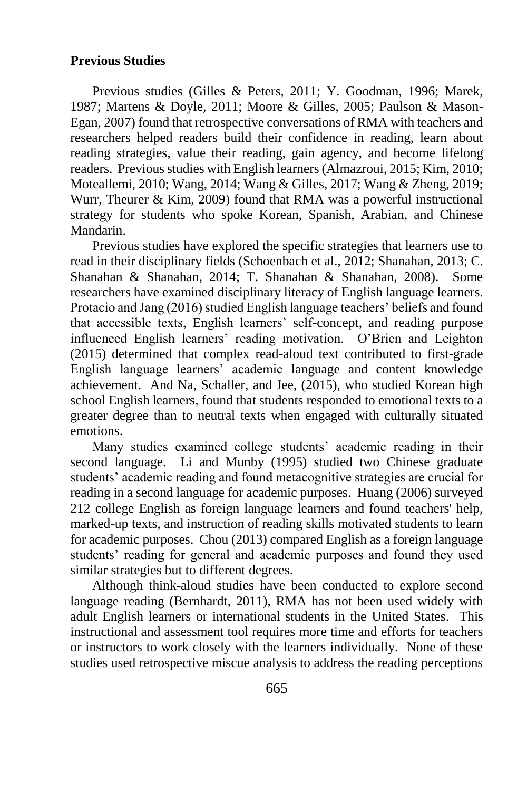#### **Previous Studies**

Previous studies (Gilles & Peters, 2011; Y. Goodman, 1996; Marek, 1987; Martens & Doyle, 2011; Moore & Gilles, 2005; Paulson & Mason-Egan, 2007) found that retrospective conversations of RMA with teachers and researchers helped readers build their confidence in reading, learn about reading strategies, value their reading, gain agency, and become lifelong readers. Previous studies with English learners (Almazroui, 2015; Kim, 2010; Moteallemi, 2010; Wang, 2014; Wang & Gilles, 2017; Wang & Zheng, 2019; Wurr, Theurer & Kim, 2009) found that RMA was a powerful instructional strategy for students who spoke Korean, Spanish, Arabian, and Chinese Mandarin.

Previous studies have explored the specific strategies that learners use to read in their disciplinary fields (Schoenbach et al., 2012; Shanahan, 2013; C. Shanahan & Shanahan, 2014; T. Shanahan & Shanahan, 2008). Some researchers have examined disciplinary literacy of English language learners. Protacio and Jang (2016) studied English language teachers' beliefs and found that accessible texts, English learners' self-concept, and reading purpose influenced English learners' reading motivation. O'Brien and Leighton (2015) determined that complex read-aloud text contributed to first-grade English language learners' academic language and content knowledge achievement. And Na, Schaller, and Jee, (2015), who studied Korean high school English learners, found that students responded to emotional texts to a greater degree than to neutral texts when engaged with culturally situated emotions.

Many studies examined college students' academic reading in their second language. Li and Munby (1995) studied two Chinese graduate students' academic reading and found metacognitive strategies are crucial for reading in a second language for academic purposes. Huang (2006) surveyed 212 college English as foreign language learners and found teachers' help, marked-up texts, and instruction of reading skills motivated students to learn for academic purposes. Chou (2013) compared English as a foreign language students' reading for general and academic purposes and found they used similar strategies but to different degrees.

Although think-aloud studies have been conducted to explore second language reading (Bernhardt, 2011), RMA has not been used widely with adult English learners or international students in the United States. This instructional and assessment tool requires more time and efforts for teachers or instructors to work closely with the learners individually. None of these studies used retrospective miscue analysis to address the reading perceptions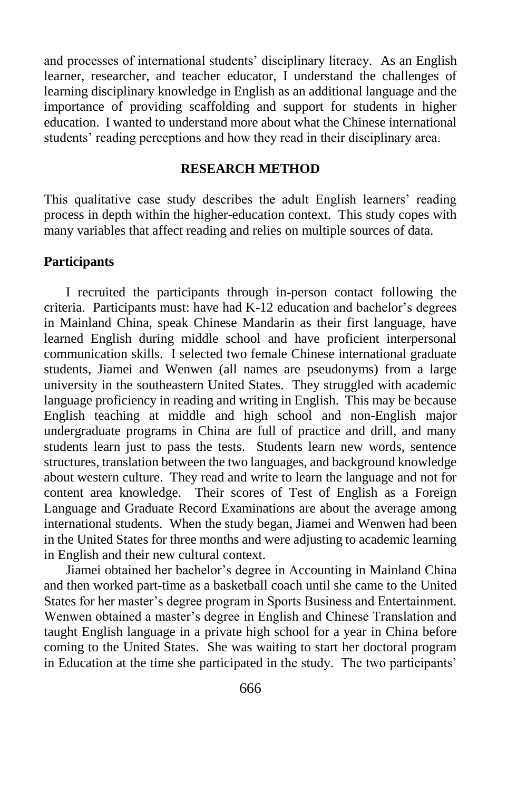and processes of international students' disciplinary literacy. As an English learner, researcher, and teacher educator, I understand the challenges of learning disciplinary knowledge in English as an additional language and the importance of providing scaffolding and support for students in higher education. I wanted to understand more about what the Chinese international students' reading perceptions and how they read in their disciplinary area.

## **RESEARCH METHOD**

This qualitative case study describes the adult English learners' reading process in depth within the higher-education context. This study copes with many variables that affect reading and relies on multiple sources of data.

#### **Participants**

I recruited the participants through in-person contact following the criteria. Participants must: have had K-12 education and bachelor's degrees in Mainland China, speak Chinese Mandarin as their first language, have learned English during middle school and have proficient interpersonal communication skills. I selected two female Chinese international graduate students, Jiamei and Wenwen (all names are pseudonyms) from a large university in the southeastern United States. They struggled with academic language proficiency in reading and writing in English. This may be because English teaching at middle and high school and non-English major undergraduate programs in China are full of practice and drill, and many students learn just to pass the tests. Students learn new words, sentence structures, translation between the two languages, and background knowledge about western culture. They read and write to learn the language and not for content area knowledge. Their scores of Test of English as a Foreign Language and Graduate Record Examinations are about the average among international students. When the study began, Jiamei and Wenwen had been in the United States for three months and were adjusting to academic learning in English and their new cultural context.

Jiamei obtained her bachelor's degree in Accounting in Mainland China and then worked part-time as a basketball coach until she came to the United States for her master's degree program in Sports Business and Entertainment. Wenwen obtained a master's degree in English and Chinese Translation and taught English language in a private high school for a year in China before coming to the United States. She was waiting to start her doctoral program in Education at the time she participated in the study. The two participants'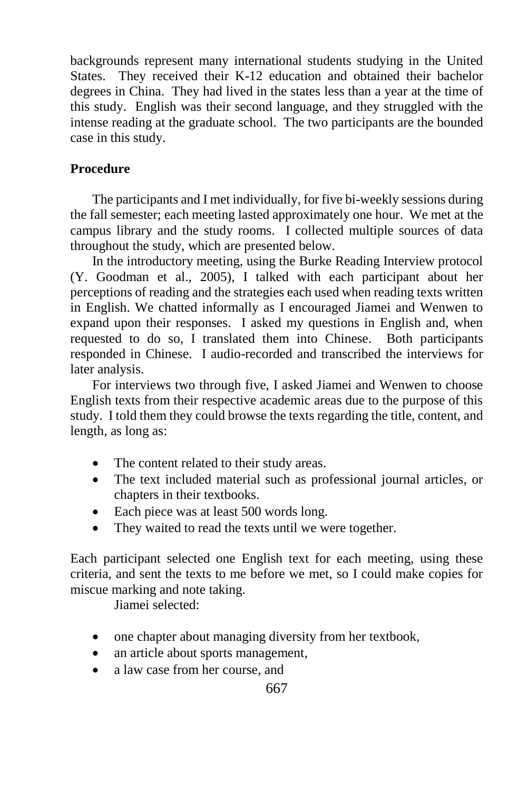backgrounds represent many international students studying in the United States. They received their K-12 education and obtained their bachelor degrees in China. They had lived in the states less than a year at the time of this study. English was their second language, and they struggled with the intense reading at the graduate school. The two participants are the bounded case in this study.

# **Procedure**

The participants and I met individually, for five bi-weekly sessions during the fall semester; each meeting lasted approximately one hour. We met at the campus library and the study rooms. I collected multiple sources of data throughout the study, which are presented below.

In the introductory meeting, using the Burke Reading Interview protocol (Y. Goodman et al., 2005), I talked with each participant about her perceptions of reading and the strategies each used when reading texts written in English. We chatted informally as I encouraged Jiamei and Wenwen to expand upon their responses. I asked my questions in English and, when requested to do so, I translated them into Chinese. Both participants responded in Chinese. I audio-recorded and transcribed the interviews for later analysis.

For interviews two through five, I asked Jiamei and Wenwen to choose English texts from their respective academic areas due to the purpose of this study. I told them they could browse the texts regarding the title, content, and length, as long as:

- The content related to their study areas.
- The text included material such as professional journal articles, or chapters in their textbooks.
- Each piece was at least 500 words long.
- They waited to read the texts until we were together.

Each participant selected one English text for each meeting, using these criteria, and sent the texts to me before we met, so I could make copies for miscue marking and note taking.

Jiamei selected:

- one chapter about managing diversity from her textbook,
- an article about sports management,
- a law case from her course, and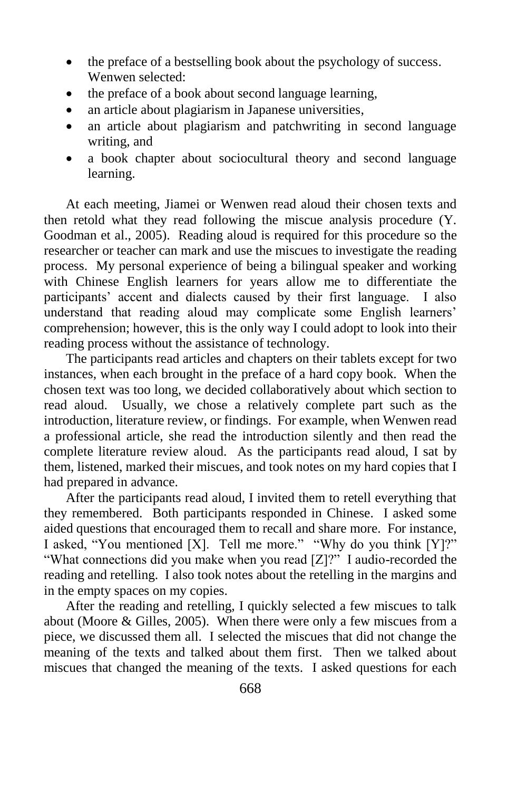- the preface of a bestselling book about the psychology of success. Wenwen selected:
- the preface of a book about second language learning,
- an article about plagiarism in Japanese universities,
- an article about plagiarism and patchwriting in second language writing, and
- a book chapter about sociocultural theory and second language learning.

At each meeting, Jiamei or Wenwen read aloud their chosen texts and then retold what they read following the miscue analysis procedure (Y. Goodman et al., 2005). Reading aloud is required for this procedure so the researcher or teacher can mark and use the miscues to investigate the reading process. My personal experience of being a bilingual speaker and working with Chinese English learners for years allow me to differentiate the participants' accent and dialects caused by their first language. I also understand that reading aloud may complicate some English learners' comprehension; however, this is the only way I could adopt to look into their reading process without the assistance of technology.

The participants read articles and chapters on their tablets except for two instances, when each brought in the preface of a hard copy book. When the chosen text was too long, we decided collaboratively about which section to read aloud. Usually, we chose a relatively complete part such as the introduction, literature review, or findings. For example, when Wenwen read a professional article, she read the introduction silently and then read the complete literature review aloud. As the participants read aloud, I sat by them, listened, marked their miscues, and took notes on my hard copies that I had prepared in advance.

After the participants read aloud, I invited them to retell everything that they remembered. Both participants responded in Chinese. I asked some aided questions that encouraged them to recall and share more. For instance, I asked, "You mentioned [X]. Tell me more." "Why do you think [Y]?" "What connections did you make when you read [Z]?" I audio-recorded the reading and retelling. I also took notes about the retelling in the margins and in the empty spaces on my copies.

After the reading and retelling, I quickly selected a few miscues to talk about (Moore & Gilles, 2005). When there were only a few miscues from a piece, we discussed them all. I selected the miscues that did not change the meaning of the texts and talked about them first. Then we talked about miscues that changed the meaning of the texts. I asked questions for each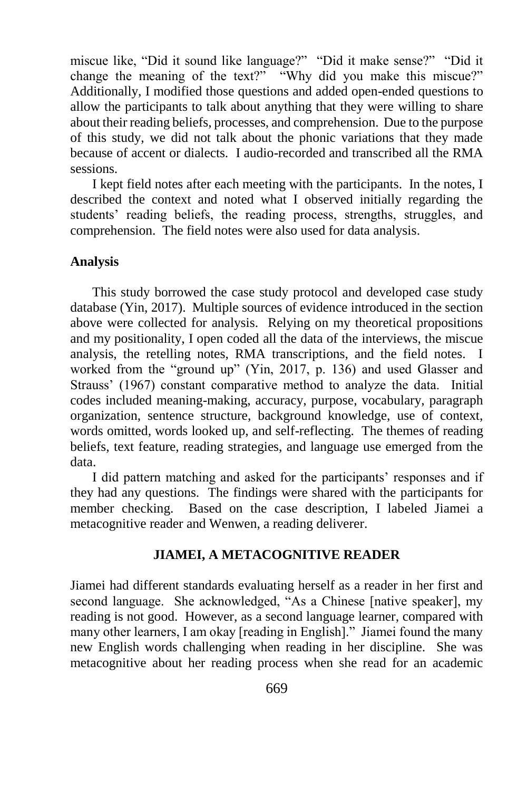miscue like, "Did it sound like language?" "Did it make sense?" "Did it change the meaning of the text?" "Why did you make this miscue?" Additionally, I modified those questions and added open-ended questions to allow the participants to talk about anything that they were willing to share about their reading beliefs, processes, and comprehension. Due to the purpose of this study, we did not talk about the phonic variations that they made because of accent or dialects. I audio-recorded and transcribed all the RMA sessions.

I kept field notes after each meeting with the participants. In the notes, I described the context and noted what I observed initially regarding the students' reading beliefs, the reading process, strengths, struggles, and comprehension. The field notes were also used for data analysis.

#### **Analysis**

This study borrowed the case study protocol and developed case study database (Yin, 2017). Multiple sources of evidence introduced in the section above were collected for analysis. Relying on my theoretical propositions and my positionality, I open coded all the data of the interviews, the miscue analysis, the retelling notes, RMA transcriptions, and the field notes. I worked from the "ground up" (Yin, 2017, p. 136) and used Glasser and Strauss' (1967) constant comparative method to analyze the data. Initial codes included meaning-making, accuracy, purpose, vocabulary, paragraph organization, sentence structure, background knowledge, use of context, words omitted, words looked up, and self-reflecting. The themes of reading beliefs, text feature, reading strategies, and language use emerged from the data.

I did pattern matching and asked for the participants' responses and if they had any questions. The findings were shared with the participants for member checking. Based on the case description, I labeled Jiamei a metacognitive reader and Wenwen, a reading deliverer.

#### **JIAMEI, A METACOGNITIVE READER**

Jiamei had different standards evaluating herself as a reader in her first and second language. She acknowledged, "As a Chinese [native speaker], my reading is not good. However, as a second language learner, compared with many other learners, I am okay [reading in English]." Jiamei found the many new English words challenging when reading in her discipline. She was metacognitive about her reading process when she read for an academic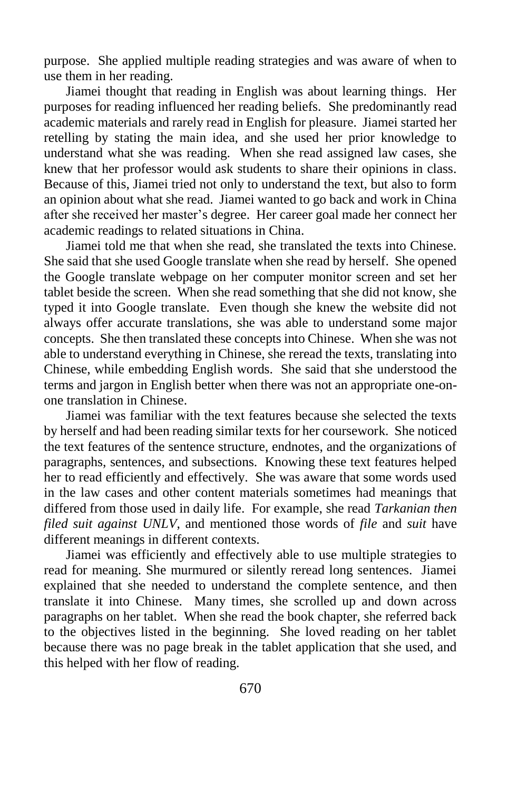purpose. She applied multiple reading strategies and was aware of when to use them in her reading.

Jiamei thought that reading in English was about learning things. Her purposes for reading influenced her reading beliefs. She predominantly read academic materials and rarely read in English for pleasure. Jiamei started her retelling by stating the main idea, and she used her prior knowledge to understand what she was reading. When she read assigned law cases, she knew that her professor would ask students to share their opinions in class. Because of this, Jiamei tried not only to understand the text, but also to form an opinion about what she read. Jiamei wanted to go back and work in China after she received her master's degree. Her career goal made her connect her academic readings to related situations in China.

Jiamei told me that when she read, she translated the texts into Chinese. She said that she used Google translate when she read by herself. She opened the Google translate webpage on her computer monitor screen and set her tablet beside the screen. When she read something that she did not know, she typed it into Google translate. Even though she knew the website did not always offer accurate translations, she was able to understand some major concepts. She then translated these concepts into Chinese. When she was not able to understand everything in Chinese, she reread the texts, translating into Chinese, while embedding English words. She said that she understood the terms and jargon in English better when there was not an appropriate one-onone translation in Chinese.

Jiamei was familiar with the text features because she selected the texts by herself and had been reading similar texts for her coursework. She noticed the text features of the sentence structure, endnotes, and the organizations of paragraphs, sentences, and subsections. Knowing these text features helped her to read efficiently and effectively. She was aware that some words used in the law cases and other content materials sometimes had meanings that differed from those used in daily life. For example, she read *Tarkanian then filed suit against UNLV*, and mentioned those words of *file* and *suit* have different meanings in different contexts.

Jiamei was efficiently and effectively able to use multiple strategies to read for meaning. She murmured or silently reread long sentences. Jiamei explained that she needed to understand the complete sentence, and then translate it into Chinese. Many times, she scrolled up and down across paragraphs on her tablet. When she read the book chapter, she referred back to the objectives listed in the beginning. She loved reading on her tablet because there was no page break in the tablet application that she used, and this helped with her flow of reading.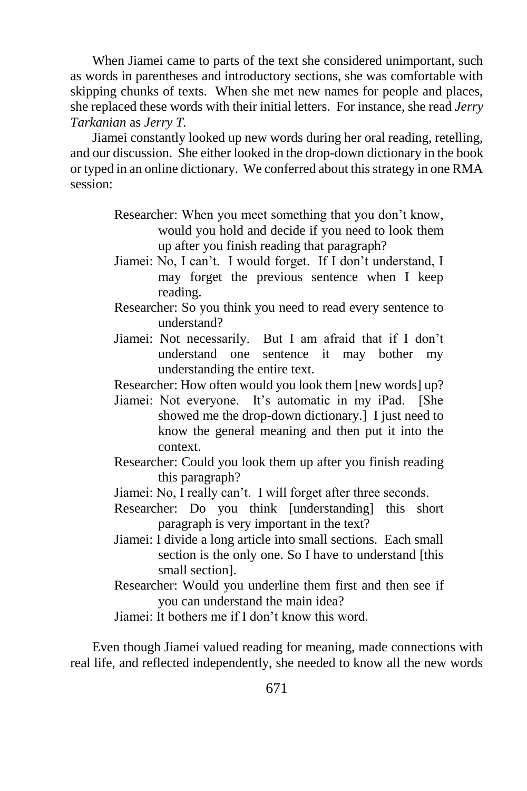When Jiamei came to parts of the text she considered unimportant, such as words in parentheses and introductory sections, she was comfortable with skipping chunks of texts. When she met new names for people and places, she replaced these words with their initial letters. For instance, she read *Jerry Tarkanian* as *Jerry T.*

Jiamei constantly looked up new words during her oral reading, retelling, and our discussion. She either looked in the drop-down dictionary in the book or typed in an online dictionary. We conferred about this strategy in one RMA session:

- Researcher: When you meet something that you don't know, would you hold and decide if you need to look them up after you finish reading that paragraph?
- Jiamei: No, I can't. I would forget. If I don't understand, I may forget the previous sentence when I keep reading.
- Researcher: So you think you need to read every sentence to understand?
- Jiamei: Not necessarily. But I am afraid that if I don't understand one sentence it may bother my understanding the entire text.

Researcher: How often would you look them [new words] up?

- Jiamei: Not everyone. It's automatic in my iPad. [She showed me the drop-down dictionary.] I just need to know the general meaning and then put it into the context.
- Researcher: Could you look them up after you finish reading this paragraph?
- Jiamei: No, I really can't. I will forget after three seconds.
- Researcher: Do you think [understanding] this short paragraph is very important in the text?
- Jiamei: I divide a long article into small sections. Each small section is the only one. So I have to understand [this small section].
- Researcher: Would you underline them first and then see if you can understand the main idea?

Jiamei: It bothers me if I don't know this word.

Even though Jiamei valued reading for meaning, made connections with real life, and reflected independently, she needed to know all the new words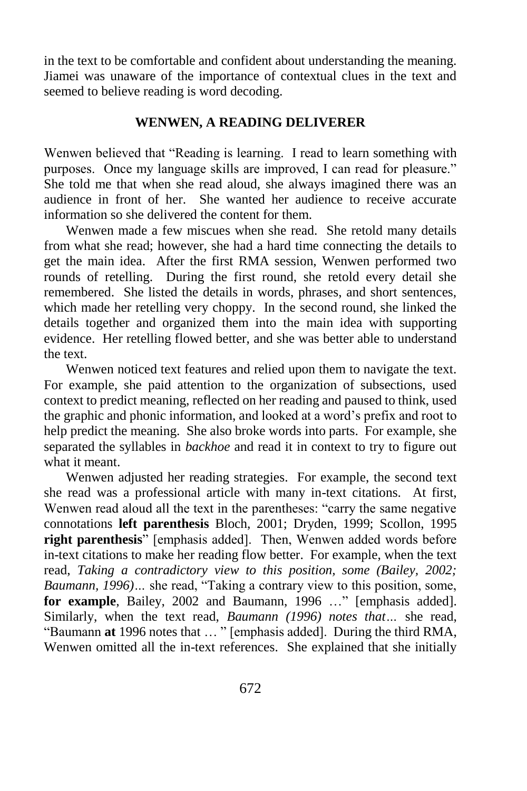in the text to be comfortable and confident about understanding the meaning. Jiamei was unaware of the importance of contextual clues in the text and seemed to believe reading is word decoding.

## **WENWEN, A READING DELIVERER**

Wenwen believed that "Reading is learning. I read to learn something with purposes. Once my language skills are improved, I can read for pleasure." She told me that when she read aloud, she always imagined there was an audience in front of her. She wanted her audience to receive accurate information so she delivered the content for them.

Wenwen made a few miscues when she read. She retold many details from what she read; however, she had a hard time connecting the details to get the main idea. After the first RMA session, Wenwen performed two rounds of retelling. During the first round, she retold every detail she remembered. She listed the details in words, phrases, and short sentences, which made her retelling very choppy. In the second round, she linked the details together and organized them into the main idea with supporting evidence. Her retelling flowed better, and she was better able to understand the text.

Wenwen noticed text features and relied upon them to navigate the text. For example, she paid attention to the organization of subsections, used context to predict meaning, reflected on her reading and paused to think, used the graphic and phonic information, and looked at a word's prefix and root to help predict the meaning. She also broke words into parts. For example, she separated the syllables in *backhoe* and read it in context to try to figure out what it meant.

Wenwen adjusted her reading strategies. For example, the second text she read was a professional article with many in-text citations. At first, Wenwen read aloud all the text in the parentheses: "carry the same negative connotations **left parenthesis** Bloch, 2001; Dryden, 1999; Scollon, 1995 **right parenthesis**" [emphasis added]. Then, Wenwen added words before in-text citations to make her reading flow better. For example, when the text read, *Taking a contradictory view to this position, some (Bailey, 2002; Baumann, 1996)…* she read, "Taking a contrary view to this position, some, **for example**, Bailey, 2002 and Baumann, 1996 …" [emphasis added]. Similarly, when the text read, *Baumann (1996) notes that…* she read, "Baumann **at** 1996 notes that … " [emphasis added]. During the third RMA, Wenwen omitted all the in-text references. She explained that she initially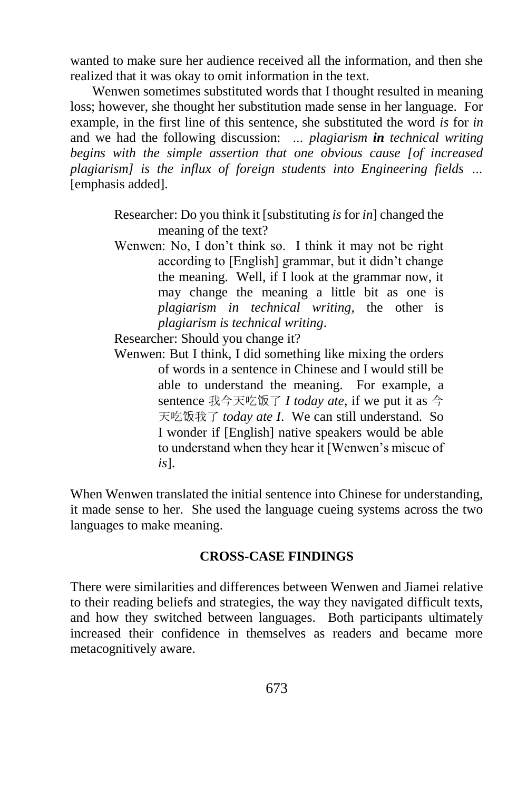wanted to make sure her audience received all the information, and then she realized that it was okay to omit information in the text.

Wenwen sometimes substituted words that I thought resulted in meaning loss; however, she thought her substitution made sense in her language. For example, in the first line of this sentence, she substituted the word *is* for *in* and we had the following discussion: *… plagiarism in technical writing begins with the simple assertion that one obvious cause [of increased plagiarism] is the influx of foreign students into Engineering fields …* [emphasis added].

> Researcher: Do you think it [substituting *is* for *in*] changed the meaning of the text?

> Wenwen: No, I don't think so. I think it may not be right according to [English] grammar, but it didn't change the meaning. Well, if I look at the grammar now, it may change the meaning a little bit as one is *plagiarism in technical writing*, the other is *plagiarism is technical writing*.

Researcher: Should you change it?

Wenwen: But I think, I did something like mixing the orders of words in a sentence in Chinese and I would still be able to understand the meaning. For example, a sentence 我今天吃饭了 *I today ate*, if we put it as 今 天吃饭我了 *today ate I*. We can still understand. So I wonder if [English] native speakers would be able to understand when they hear it [Wenwen's miscue of *is*].

When Wenwen translated the initial sentence into Chinese for understanding, it made sense to her. She used the language cueing systems across the two languages to make meaning.

## **CROSS-CASE FINDINGS**

There were similarities and differences between Wenwen and Jiamei relative to their reading beliefs and strategies, the way they navigated difficult texts, and how they switched between languages. Both participants ultimately increased their confidence in themselves as readers and became more metacognitively aware.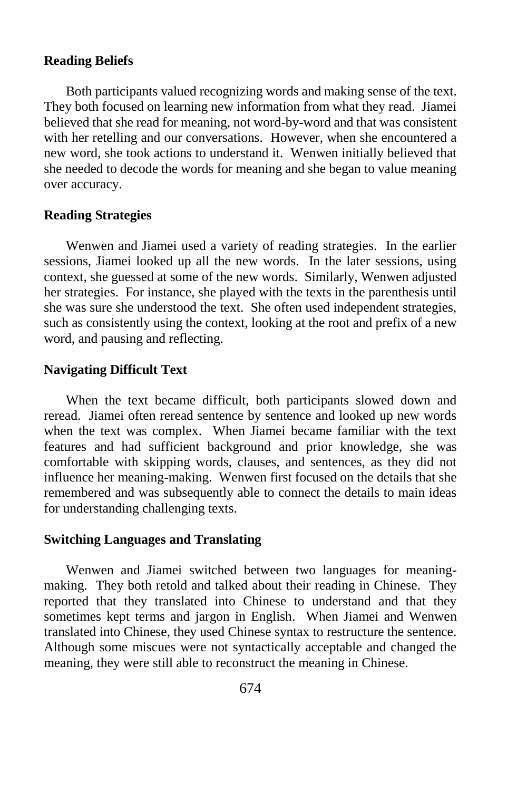#### **Reading Beliefs**

Both participants valued recognizing words and making sense of the text. They both focused on learning new information from what they read. Jiamei believed that she read for meaning, not word-by-word and that was consistent with her retelling and our conversations. However, when she encountered a new word, she took actions to understand it. Wenwen initially believed that she needed to decode the words for meaning and she began to value meaning over accuracy.

# **Reading Strategies**

Wenwen and Jiamei used a variety of reading strategies. In the earlier sessions, Jiamei looked up all the new words. In the later sessions, using context, she guessed at some of the new words. Similarly, Wenwen adjusted her strategies. For instance, she played with the texts in the parenthesis until she was sure she understood the text. She often used independent strategies, such as consistently using the context, looking at the root and prefix of a new word, and pausing and reflecting.

## **Navigating Difficult Text**

When the text became difficult, both participants slowed down and reread. Jiamei often reread sentence by sentence and looked up new words when the text was complex. When Jiamei became familiar with the text features and had sufficient background and prior knowledge, she was comfortable with skipping words, clauses, and sentences, as they did not influence her meaning-making. Wenwen first focused on the details that she remembered and was subsequently able to connect the details to main ideas for understanding challenging texts.

#### **Switching Languages and Translating**

Wenwen and Jiamei switched between two languages for meaningmaking. They both retold and talked about their reading in Chinese. They reported that they translated into Chinese to understand and that they sometimes kept terms and jargon in English. When Jiamei and Wenwen translated into Chinese, they used Chinese syntax to restructure the sentence. Although some miscues were not syntactically acceptable and changed the meaning, they were still able to reconstruct the meaning in Chinese.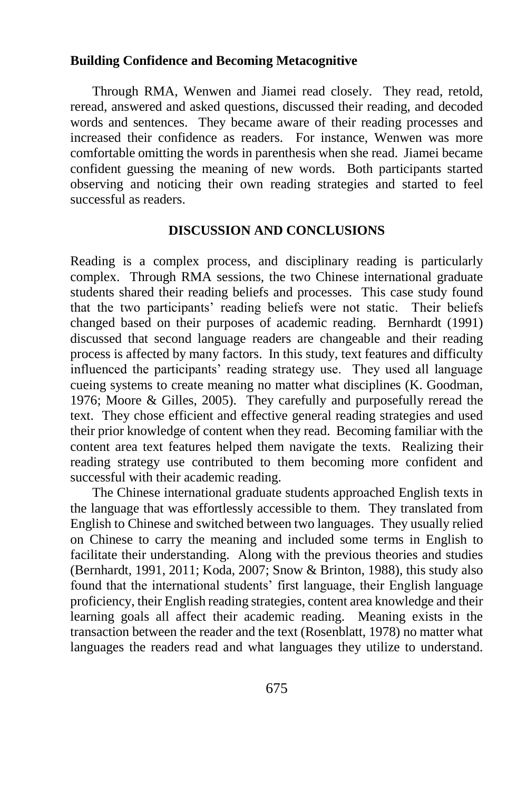#### **Building Confidence and Becoming Metacognitive**

Through RMA, Wenwen and Jiamei read closely. They read, retold, reread, answered and asked questions, discussed their reading, and decoded words and sentences. They became aware of their reading processes and increased their confidence as readers. For instance, Wenwen was more comfortable omitting the words in parenthesis when she read. Jiamei became confident guessing the meaning of new words. Both participants started observing and noticing their own reading strategies and started to feel successful as readers.

#### **DISCUSSION AND CONCLUSIONS**

Reading is a complex process, and disciplinary reading is particularly complex. Through RMA sessions, the two Chinese international graduate students shared their reading beliefs and processes. This case study found that the two participants' reading beliefs were not static. Their beliefs changed based on their purposes of academic reading. Bernhardt (1991) discussed that second language readers are changeable and their reading process is affected by many factors. In this study, text features and difficulty influenced the participants' reading strategy use. They used all language cueing systems to create meaning no matter what disciplines (K. Goodman, 1976; Moore & Gilles, 2005). They carefully and purposefully reread the text. They chose efficient and effective general reading strategies and used their prior knowledge of content when they read. Becoming familiar with the content area text features helped them navigate the texts. Realizing their reading strategy use contributed to them becoming more confident and successful with their academic reading.

The Chinese international graduate students approached English texts in the language that was effortlessly accessible to them. They translated from English to Chinese and switched between two languages. They usually relied on Chinese to carry the meaning and included some terms in English to facilitate their understanding. Along with the previous theories and studies (Bernhardt, 1991, 2011; Koda, 2007; Snow & Brinton, 1988), this study also found that the international students' first language, their English language proficiency, their English reading strategies, content area knowledge and their learning goals all affect their academic reading. Meaning exists in the transaction between the reader and the text (Rosenblatt, 1978) no matter what languages the readers read and what languages they utilize to understand.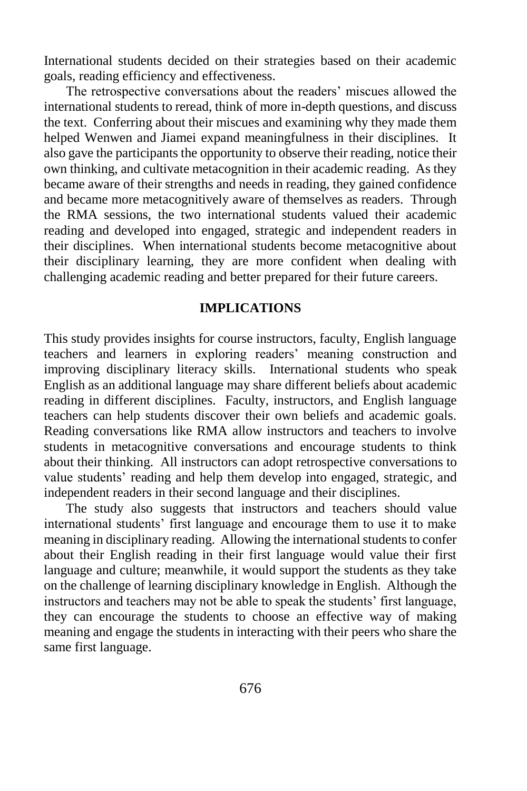International students decided on their strategies based on their academic goals, reading efficiency and effectiveness.

The retrospective conversations about the readers' miscues allowed the international students to reread, think of more in-depth questions, and discuss the text. Conferring about their miscues and examining why they made them helped Wenwen and Jiamei expand meaningfulness in their disciplines. It also gave the participants the opportunity to observe their reading, notice their own thinking, and cultivate metacognition in their academic reading. As they became aware of their strengths and needs in reading, they gained confidence and became more metacognitively aware of themselves as readers. Through the RMA sessions, the two international students valued their academic reading and developed into engaged, strategic and independent readers in their disciplines. When international students become metacognitive about their disciplinary learning, they are more confident when dealing with challenging academic reading and better prepared for their future careers.

#### **IMPLICATIONS**

This study provides insights for course instructors, faculty, English language teachers and learners in exploring readers' meaning construction and improving disciplinary literacy skills. International students who speak English as an additional language may share different beliefs about academic reading in different disciplines. Faculty, instructors, and English language teachers can help students discover their own beliefs and academic goals. Reading conversations like RMA allow instructors and teachers to involve students in metacognitive conversations and encourage students to think about their thinking. All instructors can adopt retrospective conversations to value students' reading and help them develop into engaged, strategic, and independent readers in their second language and their disciplines.

The study also suggests that instructors and teachers should value international students' first language and encourage them to use it to make meaning in disciplinary reading. Allowing the international students to confer about their English reading in their first language would value their first language and culture; meanwhile, it would support the students as they take on the challenge of learning disciplinary knowledge in English. Although the instructors and teachers may not be able to speak the students' first language, they can encourage the students to choose an effective way of making meaning and engage the students in interacting with their peers who share the same first language.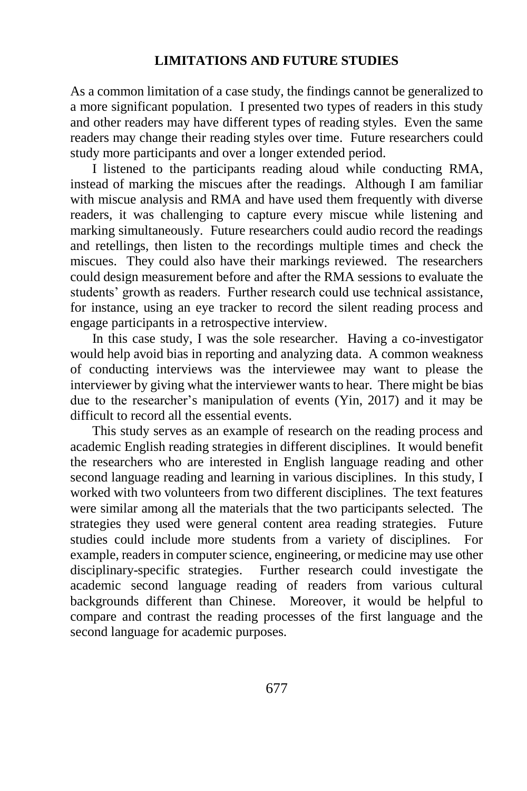## **LIMITATIONS AND FUTURE STUDIES**

As a common limitation of a case study, the findings cannot be generalized to a more significant population. I presented two types of readers in this study and other readers may have different types of reading styles. Even the same readers may change their reading styles over time. Future researchers could study more participants and over a longer extended period.

I listened to the participants reading aloud while conducting RMA, instead of marking the miscues after the readings. Although I am familiar with miscue analysis and RMA and have used them frequently with diverse readers, it was challenging to capture every miscue while listening and marking simultaneously. Future researchers could audio record the readings and retellings, then listen to the recordings multiple times and check the miscues. They could also have their markings reviewed. The researchers could design measurement before and after the RMA sessions to evaluate the students' growth as readers. Further research could use technical assistance, for instance, using an eye tracker to record the silent reading process and engage participants in a retrospective interview.

In this case study, I was the sole researcher. Having a co-investigator would help avoid bias in reporting and analyzing data. A common weakness of conducting interviews was the interviewee may want to please the interviewer by giving what the interviewer wants to hear. There might be bias due to the researcher's manipulation of events (Yin, 2017) and it may be difficult to record all the essential events.

This study serves as an example of research on the reading process and academic English reading strategies in different disciplines. It would benefit the researchers who are interested in English language reading and other second language reading and learning in various disciplines. In this study, I worked with two volunteers from two different disciplines. The text features were similar among all the materials that the two participants selected. The strategies they used were general content area reading strategies. Future studies could include more students from a variety of disciplines. For example, readers in computer science, engineering, or medicine may use other disciplinary-specific strategies. Further research could investigate the academic second language reading of readers from various cultural backgrounds different than Chinese. Moreover, it would be helpful to compare and contrast the reading processes of the first language and the second language for academic purposes.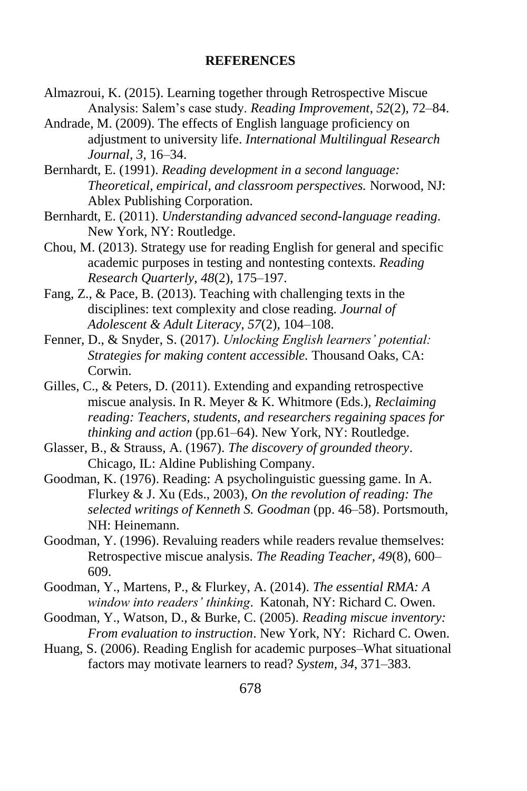#### **REFERENCES**

- Almazroui, K. (2015). Learning together through Retrospective Miscue Analysis: Salem's case study. *Reading Improvement*, *52*(2), 72–84.
- Andrade, M. (2009). The effects of English language proficiency on adjustment to university life. *International Multilingual Research Journal, 3*, 16–34.
- Bernhardt, E. (1991). *Reading development in a second language: Theoretical, empirical, and classroom perspectives.* Norwood, NJ: Ablex Publishing Corporation.
- Bernhardt, E. (2011). *Understanding advanced second-language reading*. New York, NY: Routledge.
- Chou, M. (2013). Strategy use for reading English for general and specific academic purposes in testing and nontesting contexts. *Reading Research Quarterly, 48*(2), 175–197.
- Fang, Z., & Pace, B. (2013). Teaching with challenging texts in the disciplines: text complexity and close reading. *Journal of Adolescent & Adult Literacy, 57*(2), 104–108.
- Fenner, D., & Snyder, S. (2017). *Unlocking English learners' potential: Strategies for making content accessible.* Thousand Oaks, CA: Corwin.
- Gilles, C., & Peters, D. (2011). Extending and expanding retrospective miscue analysis. In R. Meyer & K. Whitmore (Eds.), *Reclaiming reading: Teachers, students, and researchers regaining spaces for thinking and action* (pp.61–64). New York, NY: Routledge.
- Glasser, B., & Strauss, A. (1967). *The discovery of grounded theory*. Chicago, IL: Aldine Publishing Company.
- Goodman, K. (1976). Reading: A psycholinguistic guessing game. In A. Flurkey & J. Xu (Eds., 2003), *On the revolution of reading: The selected writings of Kenneth S. Goodman* (pp. 46–58). Portsmouth, NH: Heinemann.
- Goodman, Y. (1996). Revaluing readers while readers revalue themselves: Retrospective miscue analysis. *The Reading Teacher, 49*(8), 600– 609.
- Goodman, Y., Martens, P., & Flurkey, A. (2014). *The essential RMA: A window into readers' thinking*. Katonah, NY: Richard C. Owen.
- Goodman, Y., Watson, D., & Burke, C. (2005). *Reading miscue inventory: From evaluation to instruction*. New York, NY: Richard C. Owen.
- Huang, S. (2006). Reading English for academic purposes–What situational factors may motivate learners to read? *System, 34*, 371–383.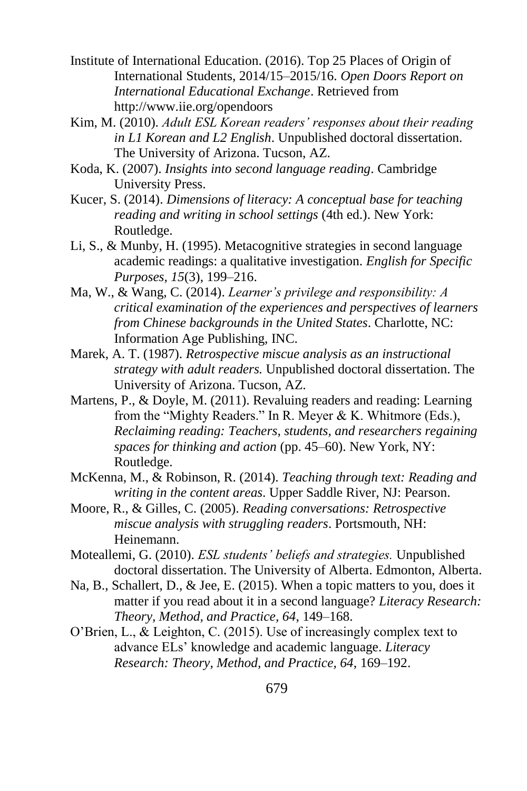- Institute of International Education. (2016). Top 25 Places of Origin of International Students, 2014/15–2015/16. *Open Doors Report on International Educational Exchange*. Retrieved from http://www.iie.org/opendoors
- Kim, M. (2010). *Adult ESL Korean readers' responses about their reading in L1 Korean and L2 English*. Unpublished doctoral dissertation. The University of Arizona. Tucson, AZ.
- Koda, K. (2007). *Insights into second language reading*. Cambridge University Press.
- Kucer, S. (2014). *Dimensions of literacy: A conceptual base for teaching reading and writing in school settings* (4th ed.). New York: Routledge.
- Li, S., & Munby, H. (1995). Metacognitive strategies in second language academic readings: a qualitative investigation. *English for Specific Purposes, 15*(3), 199–216.
- Ma, W., & Wang, C. (2014). *Learner's privilege and responsibility: A critical examination of the experiences and perspectives of learners from Chinese backgrounds in the United States*. Charlotte, NC: Information Age Publishing, INC.
- Marek, A. T. (1987). *Retrospective miscue analysis as an instructional strategy with adult readers.* Unpublished doctoral dissertation. The University of Arizona. Tucson, AZ.
- Martens, P., & Doyle, M. (2011). Revaluing readers and reading: Learning from the "Mighty Readers." In R. Meyer & K. Whitmore (Eds.), *Reclaiming reading: Teachers, students, and researchers regaining spaces for thinking and action* (pp. 45–60). New York, NY: Routledge.
- McKenna, M., & Robinson, R. (2014). *Teaching through text: Reading and writing in the content areas*. Upper Saddle River, NJ: Pearson.
- Moore, R., & Gilles, C. (2005). *Reading conversations: Retrospective miscue analysis with struggling readers*. Portsmouth, NH: Heinemann.
- Moteallemi, G. (2010). *ESL students' beliefs and strategies.* Unpublished doctoral dissertation. The University of Alberta. Edmonton, Alberta.
- Na, B., Schallert, D., & Jee, E. (2015). When a topic matters to you, does it matter if you read about it in a second language? *Literacy Research: Theory, Method, and Practice, 64*, 149–168.
- O'Brien, L., & Leighton, C. (2015). Use of increasingly complex text to advance ELs' knowledge and academic language. *Literacy Research: Theory, Method, and Practice, 64*, 169–192.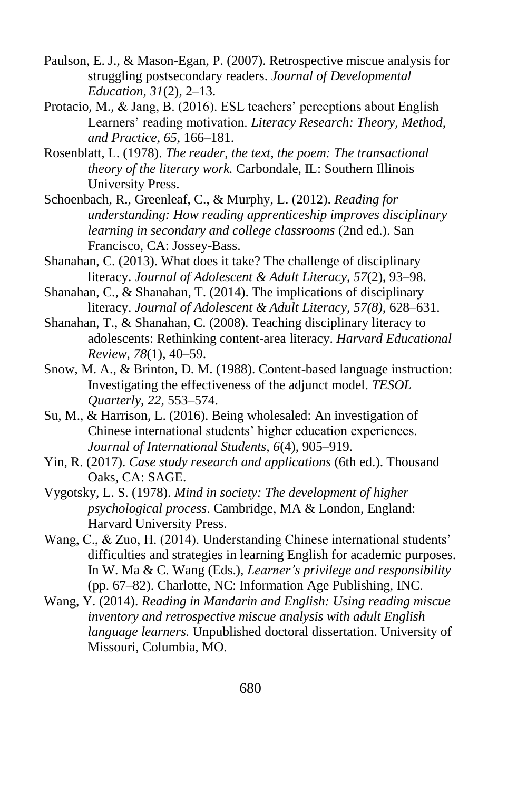- Paulson, E. J., & Mason-Egan, P. (2007). Retrospective miscue analysis for struggling postsecondary readers. *Journal of Developmental Education, 31*(2), 2–13.
- Protacio, M., & Jang, B. (2016). ESL teachers' perceptions about English Learners' reading motivation. *Literacy Research: Theory, Method, and Practice, 65,* 166–181.
- Rosenblatt, L. (1978). *The reader, the text, the poem: The transactional theory of the literary work.* Carbondale, IL: Southern Illinois University Press.
- Schoenbach, R., Greenleaf, C., & Murphy, L. (2012). *Reading for understanding: How reading apprenticeship improves disciplinary learning in secondary and college classrooms* (2nd ed.). San Francisco, CA: Jossey-Bass.
- Shanahan, C. (2013). What does it take? The challenge of disciplinary literacy. *Journal of Adolescent & Adult Literacy, 57*(2), 93–98.
- Shanahan, C., & Shanahan, T. (2014). The implications of disciplinary literacy. *Journal of Adolescent & Adult Literacy, 57(8),* 628–631.
- Shanahan, T., & Shanahan, C. (2008). Teaching disciplinary literacy to adolescents: Rethinking content-area literacy. *Harvard Educational Review, 78*(1), 40–59.
- Snow, M. A., & Brinton, D. M. (1988). Content-based language instruction: Investigating the effectiveness of the adjunct model. *TESOL Quarterly, 22,* 553–574.
- Su, M., & Harrison, L. (2016). Being wholesaled: An investigation of Chinese international students' higher education experiences. *Journal of International Students, 6*(4), 905–919.
- Yin, R. (2017). *Case study research and applications* (6th ed.). Thousand Oaks, CA: SAGE.
- Vygotsky, L. S. (1978). *Mind in society: The development of higher psychological process*. Cambridge, MA & London, England: Harvard University Press.
- Wang, C., & Zuo, H. (2014). Understanding Chinese international students' difficulties and strategies in learning English for academic purposes. In W. Ma & C. Wang (Eds.), *Learner's privilege and responsibility*  (pp. 67–82). Charlotte, NC: Information Age Publishing, INC.
- Wang, Y. (2014). *Reading in Mandarin and English: Using reading miscue inventory and retrospective miscue analysis with adult English language learners.* Unpublished doctoral dissertation. University of Missouri, Columbia, MO.